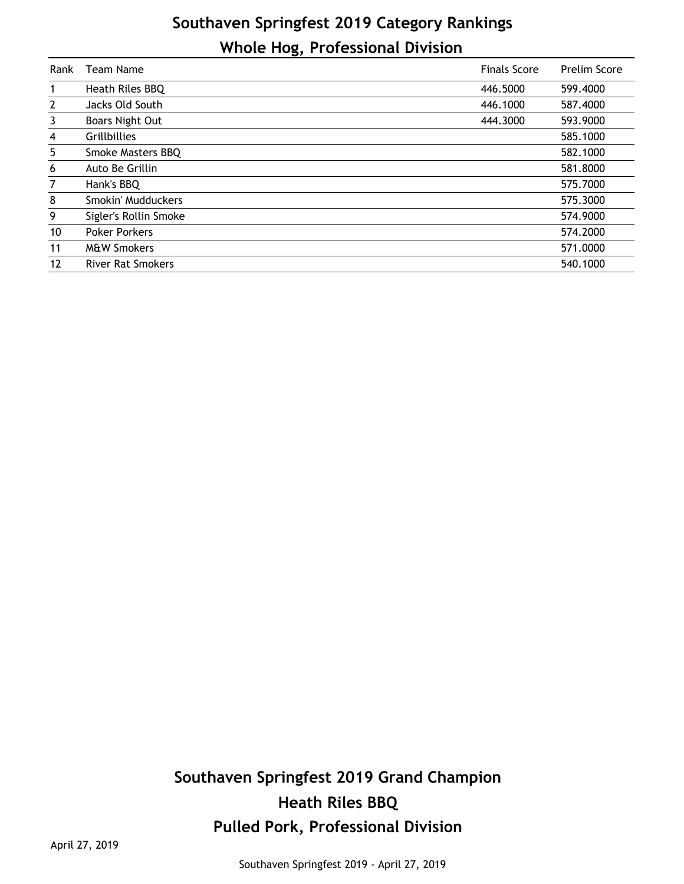## **Southaven Springfest 2019 Category Rankings Whole Hog, Professional Division**

| Rank           | <b>Team Name</b>         | <b>Finals Score</b> | Prelim Score |
|----------------|--------------------------|---------------------|--------------|
| 1              | Heath Riles BBQ          | 446.5000            | 599.4000     |
| $\overline{2}$ | Jacks Old South          | 446.1000            | 587.4000     |
| 3              | Boars Night Out          | 444.3000            | 593.9000     |
| 4              | <b>Grillbillies</b>      |                     | 585.1000     |
| 5              | Smoke Masters BBQ        |                     | 582.1000     |
| 6              | Auto Be Grillin          |                     | 581.8000     |
| 7              | Hank's BBQ               |                     | 575.7000     |
| 8              | Smokin' Mudduckers       |                     | 575.3000     |
| 9              | Sigler's Rollin Smoke    |                     | 574.9000     |
| 10             | <b>Poker Porkers</b>     |                     | 574.2000     |
| 11             | <b>M&amp;W Smokers</b>   |                     | 571.0000     |
| 12             | <b>River Rat Smokers</b> |                     | 540.1000     |

## **Southaven Springfest 2019 Grand Champion Heath Riles BBQ Pulled Pork, Professional Division**

April 27, 2019

Southaven Springfest 2019 - April 27, 2019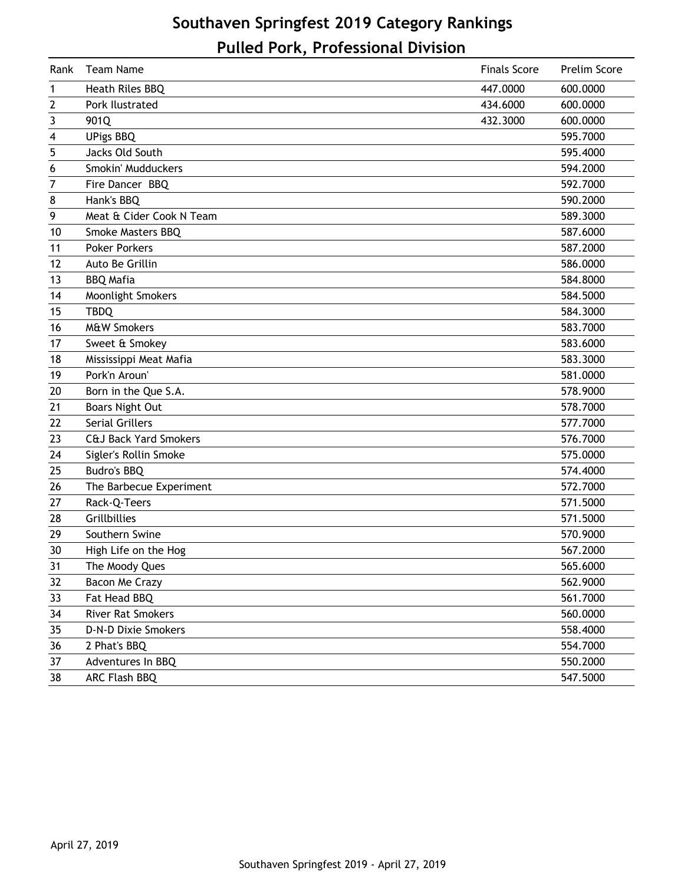## **Southaven Springfest 2019 Category Rankings Pulled Pork, Professional Division**

| Rank | Team Name                        | <b>Finals Score</b> | Prelim Score |
|------|----------------------------------|---------------------|--------------|
| 1    | Heath Riles BBQ                  | 447.0000            | 600.0000     |
| 2    | Pork Ilustrated                  | 434.6000            | 600.0000     |
| 3    | 901Q                             | 432.3000            | 600.0000     |
| 4    | <b>UPigs BBQ</b>                 |                     | 595.7000     |
| 5    | Jacks Old South                  |                     | 595.4000     |
| 6    | Smokin' Mudduckers               |                     | 594.2000     |
| 7    | Fire Dancer BBQ                  |                     | 592.7000     |
| 8    | Hank's BBQ                       |                     | 590.2000     |
| 9    | Meat & Cider Cook N Team         |                     | 589.3000     |
| 10   | Smoke Masters BBQ                |                     | 587.6000     |
| 11   | <b>Poker Porkers</b>             |                     | 587.2000     |
| 12   | Auto Be Grillin                  |                     | 586.0000     |
| 13   | <b>BBQ Mafia</b>                 |                     | 584.8000     |
| 14   | Moonlight Smokers                |                     | 584.5000     |
| 15   | <b>TBDQ</b>                      |                     | 584.3000     |
| 16   | <b>M&amp;W Smokers</b>           |                     | 583.7000     |
| 17   | Sweet & Smokey                   |                     | 583.6000     |
| 18   | Mississippi Meat Mafia           |                     | 583.3000     |
| 19   | Pork'n Aroun'                    |                     | 581.0000     |
| 20   | Born in the Que S.A.             |                     | 578.9000     |
| 21   | <b>Boars Night Out</b>           |                     | 578.7000     |
| 22   | <b>Serial Grillers</b>           |                     | 577.7000     |
| 23   | <b>C&amp;J Back Yard Smokers</b> |                     | 576.7000     |
| 24   | Sigler's Rollin Smoke            |                     | 575.0000     |
| 25   | Budro's BBQ                      |                     | 574.4000     |
| 26   | The Barbecue Experiment          |                     | 572.7000     |
| 27   | Rack-Q-Teers                     |                     | 571.5000     |
| 28   | Grillbillies                     |                     | 571.5000     |
| 29   | Southern Swine                   |                     | 570.9000     |
| 30   | High Life on the Hog             |                     | 567.2000     |
| 31   | The Moody Ques                   |                     | 565.6000     |
| 32   | Bacon Me Crazy                   |                     | 562.9000     |
| 33   | Fat Head BBQ                     |                     | 561.7000     |
| 34   | <b>River Rat Smokers</b>         |                     | 560.0000     |
| 35   | D-N-D Dixie Smokers              |                     | 558.4000     |
| 36   | 2 Phat's BBQ                     |                     | 554.7000     |
| 37   | Adventures In BBQ                |                     | 550.2000     |
| 38   | ARC Flash BBQ                    |                     | 547.5000     |